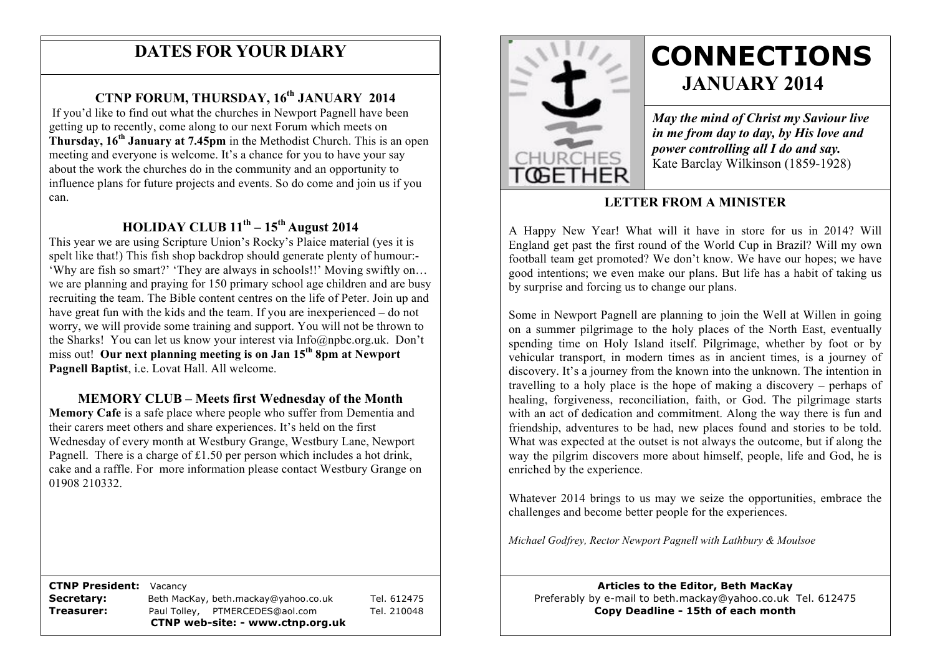## **DATES FOR YOUR DIARY**

## **CTNP FORUM, THURSDAY, 16th JANUARY 2014**

influence plans for future projects and events. So do come and join us if you **Thursday, 16th January at 7.45pm** in the Methodist Church. This is an open meeting and everyone is welcome. It's a chance for you to have your say If you'd like to find out what the churches in Newport Pagnell have been getting up to recently, come along to our next Forum which meets on about the work the churches do in the community and an opportunity to can.

## **HOLIDAY CLUB 11th – 15th August 2014**

This year we are using Scripture Union's Rocky's Plaice material (yes it is spelt like that!) This fish shop backdrop should generate plenty of humour:-'Why are fish so smart?' 'They are always in schools!!' Moving swiftly on… we are planning and praying for 150 primary school age children and are busy recruiting the team. The Bible content centres on the life of Peter. Join up and have great fun with the kids and the team. If you are inexperienced – do not worry, we will provide some training and support. You will not be thrown to the Sharks! You can let us know your interest via Info@npbc.org.uk. Don't miss out! **Our next planning meeting is on Jan 15th 8pm at Newport Pagnell Baptist**, i.e. Lovat Hall. All welcome.

## **MEMORY CLUB – Meets first Wednesday of the Month**

**Memory Cafe** is a safe place where people who suffer from Dementia and their carers meet others and share experiences. It's held on the first Wednesday of every month at Westbury Grange, Westbury Lane, Newport Pagnell. There is a charge of £1.50 per person which includes a hot drink, cake and a raffle. For more information please contact Westbury Grange on 01908 210332.

 **CTNP President:** Vacancy

**Secretary:** Beth MacKay, beth.mackay@yahoo.co.uk Tel. 612475 **Treasurer:** Paul Tolley, PTMERCEDES@aol.com Tel. 210048 **CTNP web-site: - www.ctnp.org.uk**



# **CONNECTIONS JANUARY 2014**

*May the mind of Christ my Saviour live in me from day to day, by His love and power controlling all I do and say.* Kate Barclay Wilkinson (1859-1928)

## **LETTER FROM A MINISTER**

A Happy New Year! What will it have in store for us in 2014? Will England get past the first round of the World Cup in Brazil? Will my own football team get promoted? We don't know. We have our hopes; we have good intentions; we even make our plans. But life has a habit of taking us by surprise and forcing us to change our plans.

Some in Newport Pagnell are planning to join the Well at Willen in going on a summer pilgrimage to the holy places of the North East, eventually spending time on Holy Island itself. Pilgrimage, whether by foot or by vehicular transport, in modern times as in ancient times, is a journey of discovery. It's a journey from the known into the unknown. The intention in travelling to a holy place is the hope of making a discovery – perhaps of healing, forgiveness, reconciliation, faith, or God. The pilgrimage starts with an act of dedication and commitment. Along the way there is fun and friendship, adventures to be had, new places found and stories to be told. What was expected at the outset is not always the outcome, but if along the way the pilgrim discovers more about himself, people, life and God, he is enriched by the experience.

Whatever 2014 brings to us may we seize the opportunities, embrace the challenges and become better people for the experiences.

*Michael Godfrey, Rector Newport Pagnell with Lathbury & Moulsoe*

**Articles to the Editor, Beth MacKay** Preferably by e-mail to beth.mackay@yahoo.co.uk Tel. 612475 **Copy Deadline - 15th of each month**